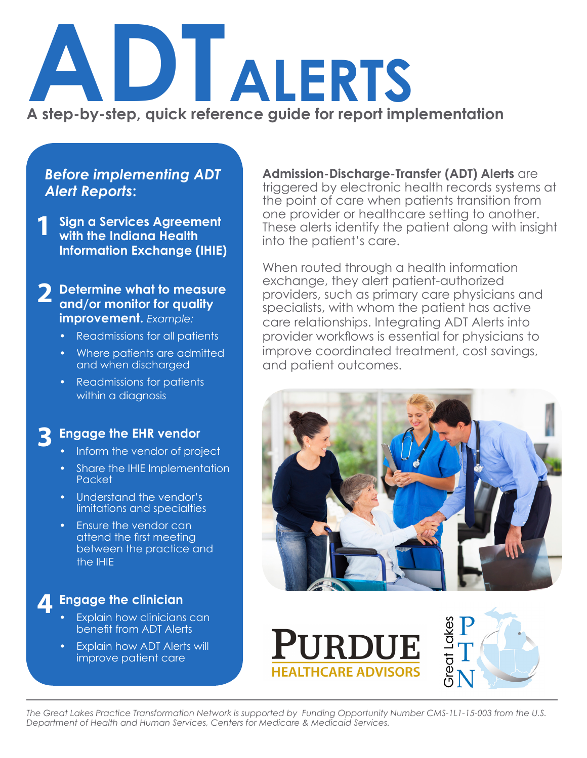# **ADTALERTS A step-by-step, quick reference guide for report implementation**

#### *Before implementing ADT Alert Reports***:**

**Sign a Services Agreement with the Indiana Health Information Exchange (IHIE) 1**

**Determine what to measure and/or monitor for quality improvement.** *Example:* **2**

- Readmissions for all patients
- Where patients are admitted and when discharged
- Readmissions for patients within a diagnosis

#### **Engage the EHR vendor 3**

- Inform the vendor of project
- Share the IHIE Implementation Packet
- Understand the vendor's limitations and specialties
- Ensure the vendor can attend the first meeting between the practice and the IHIE

**Engage the clinician 4**

- Explain how clinicians can benefit from ADT Alerts
- Explain how ADT Alerts will improve patient care

**Admission-Discharge-Transfer (ADT) Alerts** are triggered by electronic health records systems at the point of care when patients transition from one provider or healthcare setting to another. These alerts identify the patient along with insight into the patient's care.

When routed through a health information exchange, they alert patient-authorized providers, such as primary care physicians and specialists, with whom the patient has active care relationships. Integrating ADT Alerts into provider workflows is essential for physicians to improve coordinated treatment, cost savings, and patient outcomes.